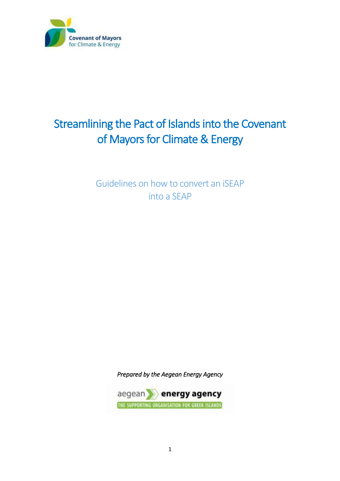

# Streamlining the Pact of Islands into the Covenant of Mayors for Climate & Energy

Guidelines on how to convert an iSEAP into a SEAP

*Prepared by the Aegean Energy Agency* 

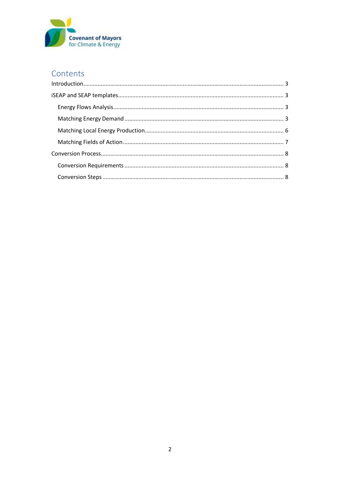

## Contents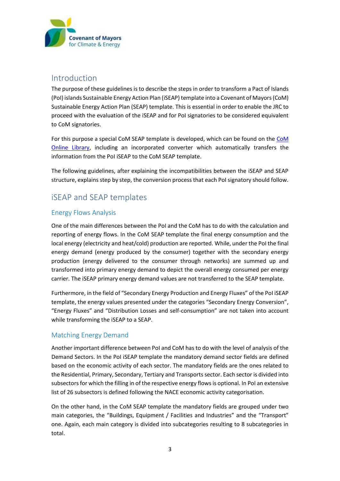

### <span id="page-2-0"></span>Introduction

The purpose of these guidelines is to describe the steps in order to transform a Pact of Islands (PoI) islands Sustainable Energy Action Plan (iSEAP) template into a Covenant of Mayors (CoM) Sustainable Energy Action Plan (SEAP) template. This is essential in order to enable the JRC to proceed with the evaluation of the iSEAP and for PoI signatories to be considered equivalent to CoM signatories.

For this purpose a special CoM SEAP template is developed, which can be found on the [CoM](http://www.eumayors.eu/Covenant-technical-materials.html)  [Online Library,](http://www.eumayors.eu/Covenant-technical-materials.html) including an incorporated converter which automatically transfers the information from the PoI iSEAP to the CoM SEAP template.

The following guidelines, after explaining the incompatibilities between the iSEAP and SEAP structure, explains step by step, the conversion process that each PoI signatory should follow.

## <span id="page-2-1"></span>iSEAP and SEAP templates

#### <span id="page-2-2"></span>Energy Flows Analysis

One of the main differences between the PoI and the CoM has to do with the calculation and reporting of energy flows. In the CoM SEAP template the final energy consumption and the local energy (electricity and heat/cold) production are reported. While, under the PoI the final energy demand (energy produced by the consumer) together with the secondary energy production (energy delivered to the consumer through networks) are summed up and transformed into primary energy demand to depict the overall energy consumed per energy carrier. The iSEAP primary energy demand values are not transferred to the SEAP template.

Furthermore, in the field of "Secondary Energy Production and Energy Fluxes" of the PoI iSEAP template, the energy values presented under the categories "Secondary Energy Conversion", "Energy Fluxes" and "Distribution Losses and self-consumption" are not taken into account while transforming the iSEAP to a SEAP.

#### <span id="page-2-3"></span>Matching Energy Demand

Another important difference between PoI and CoM has to do with the level of analysis of the Demand Sectors. In the PoI iSEAP template the mandatory demand sector fields are defined based on the economic activity of each sector. The mandatory fields are the ones related to the Residential, Primary, Secondary, Tertiary and Transports sector. Each sector is divided into subsectors for which the filling in of the respective energy flows is optional. In PoI an extensive list of 26 subsectors is defined following the NACE economic activity categorisation.

On the other hand, in the CoM SEAP template the mandatory fields are grouped under two main categories, the "Buildings, Equipment / Facilities and Industries" and the "Transport" one. Again, each main category is divided into subcategories resulting to 8 subcategories in total.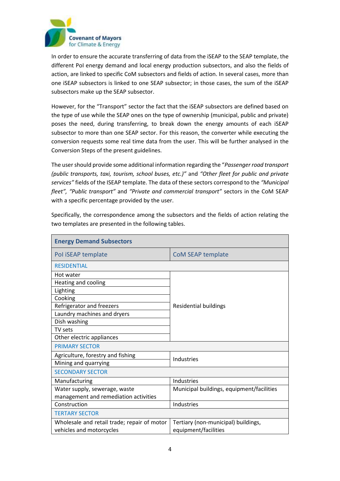

In order to ensure the accurate transferring of data from the iSEAP to the SEAP template, the different PoI energy demand and local energy production subsectors, and also the fields of action, are linked to specific CoM subsectors and fields of action. In several cases, more than one iSEAP subsectors is linked to one SEAP subsector; in those cases, the sum of the iSEAP subsectors make up the SEAP subsector.

However, for the "Transport" sector the fact that the iSEAP subsectors are defined based on the type of use while the SEAP ones on the type of ownership (municipal, public and private) poses the need, during transferring, to break down the energy amounts of each iSEAP subsector to more than one SEAP sector. For this reason, the converter while executing the conversion requests some real time data from the user. This will be further analysed in the Conversion Steps of the present guidelines.

The user should provide some additional information regarding the "*Passenger road transport (public transports, taxi, tourism, school buses, etc.)"* and *"Other fleet for public and private services"* fields of the ISEAP template. The data of these sectors correspond to the *"Municipal fleet", "Public transport"* and *"Private and commercial transport"* sectors in the CoM SEAP with a specific percentage provided by the user.

Specifically, the correspondence among the subsectors and the fields of action relating the two templates are presented in the following tables.

| <b>Energy Demand Subsectors</b>             |                                           |  |
|---------------------------------------------|-------------------------------------------|--|
| Pol iSEAP template                          | CoM SEAP template                         |  |
| <b>RESIDENTIAL</b>                          |                                           |  |
| Hot water                                   |                                           |  |
| Heating and cooling                         |                                           |  |
| Lighting                                    |                                           |  |
| Cooking                                     |                                           |  |
| Refrigerator and freezers                   | <b>Residential buildings</b>              |  |
| Laundry machines and dryers                 |                                           |  |
| Dish washing                                |                                           |  |
| TV sets                                     |                                           |  |
| Other electric appliances                   |                                           |  |
| <b>PRIMARY SECTOR</b>                       |                                           |  |
| Agriculture, forestry and fishing           | <b>Industries</b>                         |  |
| Mining and quarrying                        |                                           |  |
| <b>SECONDARY SECTOR</b>                     |                                           |  |
| Manufacturing                               | <b>Industries</b>                         |  |
| Water supply, sewerage, waste               | Municipal buildings, equipment/facilities |  |
| management and remediation activities       |                                           |  |
| Construction                                | Industries                                |  |
| <b>TERTARY SECTOR</b>                       |                                           |  |
| Wholesale and retail trade; repair of motor | Tertiary (non-municipal) buildings,       |  |
| vehicles and motorcycles                    | equipment/facilities                      |  |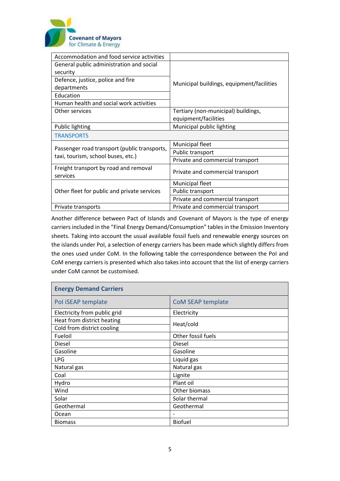

| Accommodation and food service activities                                          |                                           |  |
|------------------------------------------------------------------------------------|-------------------------------------------|--|
| General public administration and social                                           |                                           |  |
| security                                                                           |                                           |  |
| Defence, justice, police and fire                                                  | Municipal buildings, equipment/facilities |  |
| departments                                                                        |                                           |  |
| Education                                                                          |                                           |  |
| Human health and social work activities                                            |                                           |  |
| Other services                                                                     | Tertiary (non-municipal) buildings,       |  |
|                                                                                    | equipment/facilities                      |  |
| <b>Public lighting</b>                                                             | Municipal public lighting                 |  |
| <b>TRANSPORTS</b>                                                                  |                                           |  |
|                                                                                    | Municipal fleet                           |  |
| Passenger road transport (public transports,<br>taxi, tourism, school buses, etc.) | Public transport                          |  |
|                                                                                    | Private and commercial transport          |  |
| Freight transport by road and removal<br>services                                  | Private and commercial transport          |  |
|                                                                                    | Municipal fleet                           |  |
| Other fleet for public and private services                                        | Public transport                          |  |
|                                                                                    | Private and commercial transport          |  |
| Private transports                                                                 | Private and commercial transport          |  |

Another difference between Pact of Islands and Covenant of Mayors is the type of energy carriers included in the "Final Energy Demand/Consumption" tables in the Emission Inventory sheets. Taking into account the usual available fossil fuels and renewable energy sources on the islands under PoI, a selection of energy carriers has been made which slightly differs from the ones used under CoM. In the following table the correspondence between the PoI and CoM energy carriers is presented which also takes into account that the list of energy carriers under CoM cannot be customised.

| <b>Energy Demand Carriers</b> |                    |  |
|-------------------------------|--------------------|--|
| Pol iSEAP template            | CoM SEAP template  |  |
| Electricity from public grid  | Electricity        |  |
| Heat from district heating    |                    |  |
| Cold from district cooling    | Heat/cold          |  |
| Fueloil                       | Other fossil fuels |  |
| <b>Diesel</b>                 | Diesel             |  |
| Gasoline                      | Gasoline           |  |
| <b>LPG</b>                    | Liquid gas         |  |
| Natural gas                   | Natural gas        |  |
| Coal                          | Lignite            |  |
| Hydro                         | Plant oil          |  |
| Wind                          | Other biomass      |  |
| Solar                         | Solar thermal      |  |
| Geothermal                    | Geothermal         |  |
| Ocean                         |                    |  |
| <b>Biomass</b>                | <b>Biofuel</b>     |  |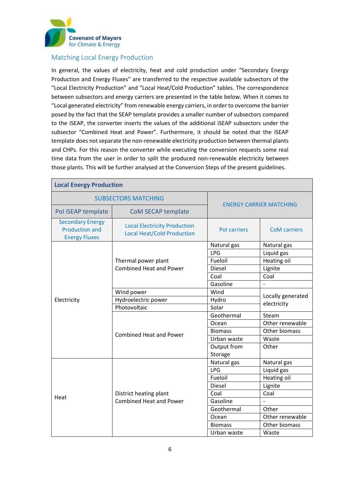

#### <span id="page-5-0"></span>Matching Local Energy Production

In general, the values of electricity, heat and cold production under "Secondary Energy Production and Energy Fluxes" are transferred to the respective available subsectors of the "Local Electricity Production" and "Local Heat/Cold Production" tables. The correspondence between subsectors and energy carriers are presented in the table below. When it comes to "Local generated electricity" from renewable energy carriers, in order to overcome the barrier posed by the fact that the SEAP template provides a smaller number of subsectors compared to the iSEAP, the converter inserts the values of the additional iSEAP subsectors under the subsector "Combined Heat and Power". Furthermore, it should be noted that the iSEAP template does not separate the non-renewable electricity production between thermal plants and CHPs. For this reason the converter while executing the conversion requests some real time data from the user in order to split the produced non-renewable electricity between those plants. This will be further analysed at the Conversion Steps of the present guidelines.

| <b>Local Energy Production</b>                                           |                                                                          |                                |                     |
|--------------------------------------------------------------------------|--------------------------------------------------------------------------|--------------------------------|---------------------|
| <b>SUBSECTORS MATCHING</b>                                               |                                                                          |                                |                     |
| Pol iSEAP template                                                       | CoM SECAP template                                                       | <b>ENERGY CARRIER MATCHING</b> |                     |
| <b>Secondary Energy</b><br><b>Production and</b><br><b>Energy Fluxes</b> | <b>Local Electricity Production</b><br><b>Local Heat/Cold Production</b> | <b>Pol carriers</b>            | <b>CoM</b> carriers |
|                                                                          |                                                                          | Natural gas                    | Natural gas         |
|                                                                          |                                                                          | <b>LPG</b>                     | Liquid gas          |
|                                                                          | Thermal power plant                                                      | Fueloil                        | Heating oil         |
|                                                                          | <b>Combined Heat and Power</b>                                           | <b>Diesel</b>                  | Lignite             |
|                                                                          |                                                                          | Coal                           | Coal                |
|                                                                          |                                                                          | Gasoline                       |                     |
|                                                                          | Wind power                                                               | Wind                           |                     |
| Electricity                                                              | Hydroelectric power                                                      | Hydro                          | Locally generated   |
|                                                                          | Photovoltaic                                                             | Solar                          | electricity         |
|                                                                          | <b>Combined Heat and Power</b>                                           | Geothermal                     | Steam               |
|                                                                          |                                                                          | Ocean                          | Other renewable     |
|                                                                          |                                                                          | <b>Biomass</b>                 | Other biomass       |
|                                                                          |                                                                          | Urban waste                    | Waste               |
|                                                                          |                                                                          | Output from                    | Other               |
|                                                                          |                                                                          | Storage                        |                     |
| Heat                                                                     |                                                                          | Natural gas                    | Natural gas         |
|                                                                          |                                                                          | <b>LPG</b>                     | Liquid gas          |
|                                                                          |                                                                          | Fueloil                        | Heating oil         |
|                                                                          |                                                                          | Diesel                         | Lignite             |
|                                                                          | District heating plant                                                   | Coal                           | Coal                |
|                                                                          | <b>Combined Heat and Power</b>                                           | Gasoline                       |                     |
|                                                                          |                                                                          | Geothermal                     | Other               |
|                                                                          |                                                                          | Ocean                          | Other renewable     |
|                                                                          |                                                                          | <b>Biomass</b>                 | Other biomass       |
|                                                                          |                                                                          | Urban waste                    | Waste               |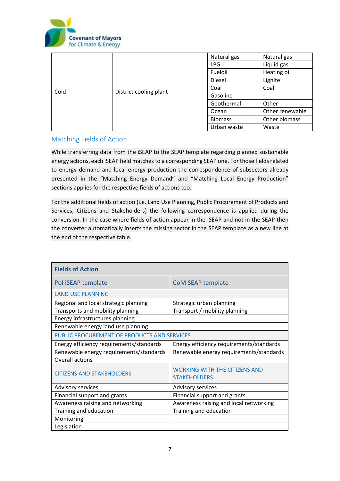

| Cold<br>District cooling plant |  | Natural gas    | Natural gas     |
|--------------------------------|--|----------------|-----------------|
|                                |  | <b>LPG</b>     | Liquid gas      |
|                                |  | Fueloil        | Heating oil     |
|                                |  | Diesel         | Lignite         |
|                                |  | Coal           | Coal            |
|                                |  | Gasoline       | ٠               |
|                                |  | Geothermal     | Other           |
|                                |  | Ocean          | Other renewable |
|                                |  | <b>Biomass</b> | Other biomass   |
|                                |  | Urban waste    | Waste           |

#### <span id="page-6-0"></span>Matching Fields of Action

While transferring data from the iSEAP to the SEAP template regarding planned sustainable energy actions, each iSEAP field matches to a corresponding SEAP one. For those fields related to energy demand and local energy production the correspondence of subsectors already presented in the "Matching Energy Demand" and "Matching Local Energy Production" sections applies for the respective fields of actions too.

For the additional fields of action (i.e. Land Use Planning, Public Procurement of Products and Services, Citizens and Stakeholders) the following correspondence is applied during the conversion. In the case where fields of action appear in the iSEAP and not in the SEAP then the converter automatically inserts the missing sector in the SEAP template as a new line at the end of the respective table.

| <b>Fields of Action</b>                     |                                                             |  |
|---------------------------------------------|-------------------------------------------------------------|--|
| Pol iSEAP template                          | CoM SEAP template                                           |  |
| <b>LAND USE PLANNING</b>                    |                                                             |  |
| Regional and local strategic planning       | Strategic urban planning                                    |  |
| Transports and mobility planning            | Transport / mobility planning                               |  |
| Energy infrastructures planning             |                                                             |  |
| Renewable energy land use planning          |                                                             |  |
| PUBLIC PROCUREMENT OF PRODUCTS AND SERVICES |                                                             |  |
| Energy efficiency requirements/standards    | Energy efficiency requirements/standards                    |  |
| Renewable energy requirements/standards     | Renewable energy requirements/standards                     |  |
| Overall actions                             |                                                             |  |
| <b>CITIZENS AND STAKEHOLDERS</b>            | <b>WORKING WITH THE CITIZENS AND</b><br><b>STAKEHOLDERS</b> |  |
| <b>Advisory services</b>                    | <b>Advisory services</b>                                    |  |
| Financial support and grants                | Financial support and grants                                |  |
| Awareness raising and networking            | Awareness raising and local networking                      |  |
| Training and education                      | Training and education                                      |  |
| Monitoring                                  |                                                             |  |
| Legislation                                 |                                                             |  |